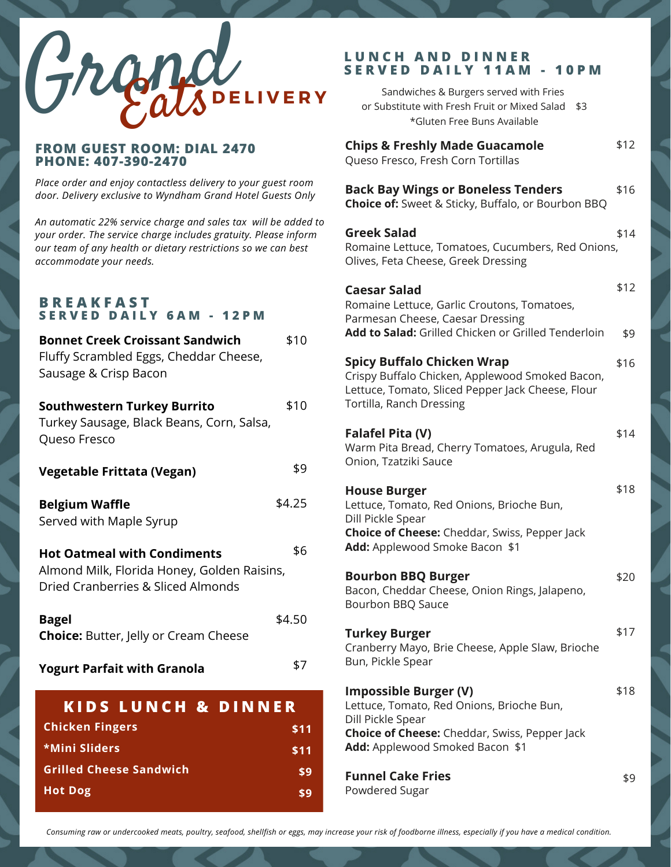

#### **FROM GUEST ROOM: DIAL 2470 PHONE: 407-390-2470**

*Place order and enjoy contactless delivery to your guest room door. Delivery exclusive to Wyndham Grand Hotel Guests Only*

*An automatic 22% service charge and sales tax will be added to your order. The service charge includes gratuity. Please inform our team of any health or dietary restrictions so we can best accommodate your needs.*

#### **B R E A K F A S T S E R V E D D A I L Y 6 A M - 1 2 P M**

| <b>Bonnet Creek Croissant Sandwich</b><br>Fluffy Scrambled Eggs, Cheddar Cheese,<br>Sausage & Crisp Bacon               | \$10   |
|-------------------------------------------------------------------------------------------------------------------------|--------|
| <b>Southwestern Turkey Burrito</b><br>Turkey Sausage, Black Beans, Corn, Salsa,<br>Queso Fresco                         | \$10   |
| <b>Vegetable Frittata (Vegan)</b>                                                                                       | \$9    |
| <b>Belgium Waffle</b><br>Served with Maple Syrup                                                                        | \$4.25 |
| <b>Hot Oatmeal with Condiments</b><br>Almond Milk, Florida Honey, Golden Raisins,<br>Dried Cranberries & Sliced Almonds | \$6    |
| <b>Bagel</b><br><b>Choice:</b> Butter, Jelly or Cream Cheese                                                            | \$4.50 |
| <b>Yogurt Parfait with Granola</b>                                                                                      | \$7    |
| <b>KIDS LUNCH &amp; DINNER</b>                                                                                          |        |
| <b>Chicken Fingers</b>                                                                                                  | \$11   |
| *Mini Sliders                                                                                                           | \$11   |

**Grilled Cheese Sandwich**

**Hot Dog**

#### **L U N C H A N D D I N N E R S E R V E D D A I L Y 1 1 A M - 1 0 P M**

| Sandwiches & Burgers served with Fries<br>or Substitute with Fresh Fruit or Mixed Salad<br>\$3<br>*Gluten Free Buns Available                                                   |             |
|---------------------------------------------------------------------------------------------------------------------------------------------------------------------------------|-------------|
| <b>Chips &amp; Freshly Made Guacamole</b><br>Queso Fresco, Fresh Corn Tortillas                                                                                                 | \$12        |
| <b>Back Bay Wings or Boneless Tenders</b><br><b>Choice of:</b> Sweet & Sticky, Buffalo, or Bourbon BBQ                                                                          | \$16        |
| <b>Greek Salad</b><br>Romaine Lettuce, Tomatoes, Cucumbers, Red Onions,<br>Olives, Feta Cheese, Greek Dressing                                                                  | \$14        |
| Caesar Salad<br>Romaine Lettuce, Garlic Croutons, Tomatoes,<br>Parmesan Cheese, Caesar Dressing<br>Add to Salad: Grilled Chicken or Grilled Tenderloin                          | \$12<br>\$9 |
| <b>Spicy Buffalo Chicken Wrap</b><br>Crispy Buffalo Chicken, Applewood Smoked Bacon,<br>Lettuce, Tomato, Sliced Pepper Jack Cheese, Flour<br>Tortilla, Ranch Dressing           | \$16        |
| Falafel Pita (V)<br>Warm Pita Bread, Cherry Tomatoes, Arugula, Red<br>Onion, Tzatziki Sauce                                                                                     | \$14        |
| <b>House Burger</b><br>Lettuce, Tomato, Red Onions, Brioche Bun,<br>Dill Pickle Spear<br><b>Choice of Cheese:</b> Cheddar, Swiss, Pepper Jack<br>Add: Applewood Smoke Bacon \$1 | \$18        |
| <b>Bourbon BBQ Burger</b><br>Bacon, Cheddar Cheese, Onion Rings, Jalapeno,<br>Bourbon BBQ Sauce                                                                                 | \$20        |
| <b>Turkey Burger</b><br>Cranberry Mayo, Brie Cheese, Apple Slaw, Brioche<br>Bun, Pickle Spear                                                                                   | \$17        |
| <b>Impossible Burger (V)</b><br>Lettuce, Tomato, Red Onions, Brioche Bun,<br>Dill Pickle Spear<br><b>Choice of Cheese:</b> Cheddar, Swiss, Pepper Jack                          | \$18        |
| Add: Applewood Smoked Bacon \$1<br><b>Funnel Cake Fries</b><br>Powdered Sugar                                                                                                   | \$9         |

Consuming raw or undercooked meats, poultry, seafood, shellfish or eggs, may increase your risk of foodborne illness, especially if you have a medical condition.

**\$9 \$9**